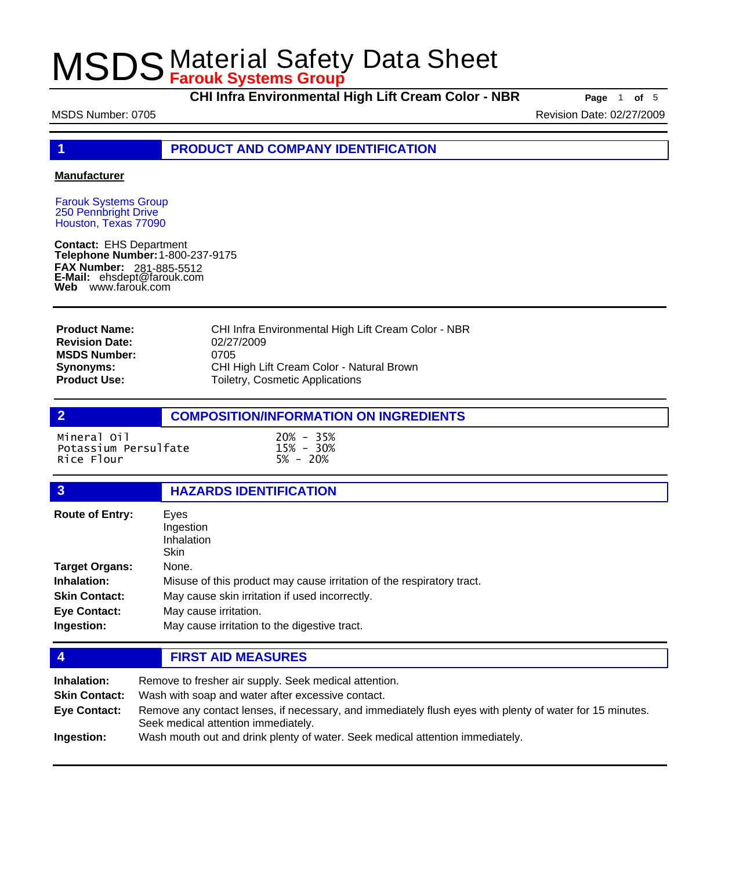**CHI Infra Environmental High Lift Cream Color - NBR Page** <sup>1</sup> **of** <sup>5</sup>

MSDS Number: 0705 Revision Date: 02/27/2009

**1 PRODUCT AND COMPANY IDENTIFICATION**

### **Manufacturer**

Farouk Systems Group 250 Pennbright Drive Houston, Texas 77090

**Contact:** EHS Department **Telephone Number:** 1-800-237-9175 **FAX Number: FAX Number:** 281-885-5512<br>**E-Mail:** ehsdept@farouk.com **Web** www.farouk.com

| <b>Product Name:</b>  | CHI Infra Environmental High Lift Cream Color - NBR |
|-----------------------|-----------------------------------------------------|
| <b>Revision Date:</b> | 02/27/2009                                          |
| <b>MSDS Number:</b>   | 0705                                                |
| <b>Synonyms:</b>      | CHI High Lift Cream Color - Natural Brown           |
| <b>Product Use:</b>   | Toiletry, Cosmetic Applications                     |

## **2 COMPOSITION/INFORMATION ON INGREDIENTS**

Mineral Oil 20% - 35% Potassium Persulfate 15% - 30% Rice Flour

## **3 HAZARDS IDENTIFICATION**

| <b>Route of Entry:</b> | Eyes                                                                  |  |
|------------------------|-----------------------------------------------------------------------|--|
|                        | Ingestion                                                             |  |
|                        | Inhalation                                                            |  |
|                        | <b>Skin</b>                                                           |  |
| <b>Target Organs:</b>  | None.                                                                 |  |
| Inhalation:            | Misuse of this product may cause irritation of the respiratory tract. |  |
| <b>Skin Contact:</b>   | May cause skin irritation if used incorrectly.                        |  |
| <b>Eye Contact:</b>    | May cause irritation.                                                 |  |
| Ingestion:             | May cause irritation to the digestive tract.                          |  |

## **4 FIRST AID MEASURES**

| Inhalation:<br><b>Skin Contact:</b> | Remove to fresher air supply. Seek medical attention.<br>Wash with soap and water after excessive contact.                                      |  |
|-------------------------------------|-------------------------------------------------------------------------------------------------------------------------------------------------|--|
| Eye Contact:                        | Remove any contact lenses, if necessary, and immediately flush eyes with plenty of water for 15 minutes.<br>Seek medical attention immediately. |  |
| Ingestion:                          | Wash mouth out and drink plenty of water. Seek medical attention immediately.                                                                   |  |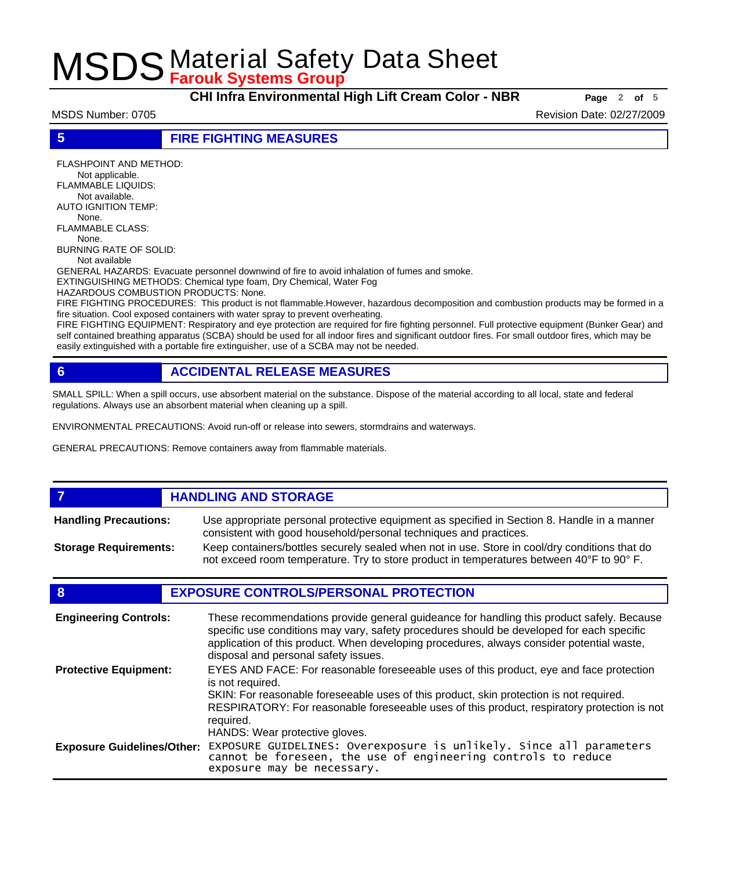**CHI Infra Environmental High Lift Cream Color - NBR Page** <sup>2</sup> **of** <sup>5</sup>

MSDS Number: 0705 Revision Date: 02/27/2009

**5 FIRE FIGHTING MEASURES**

FLASHPOINT AND METHOD: Not applicable. FLAMMABLE LIQUIDS: Not available. AUTO IGNITION TEMP: None. FLAMMABLE CLASS: None. BURNING RATE OF SOLID: Not available

GENERAL HAZARDS: Evacuate personnel downwind of fire to avoid inhalation of fumes and smoke.

EXTINGUISHING METHODS: Chemical type foam, Dry Chemical, Water Fog

HAZARDOUS COMBUSTION PRODUCTS: None.

FIRE FIGHTING PROCEDURES: This product is not flammable.However, hazardous decomposition and combustion products may be formed in a fire situation. Cool exposed containers with water spray to prevent overheating.

FIRE FIGHTING EQUIPMENT: Respiratory and eye protection are required for fire fighting personnel. Full protective equipment (Bunker Gear) and self contained breathing apparatus (SCBA) should be used for all indoor fires and significant outdoor fires. For small outdoor fires, which may be easily extinguished with a portable fire extinguisher, use of a SCBA may not be needed.

## **6 ACCIDENTAL RELEASE MEASURES**

SMALL SPILL: When a spill occurs, use absorbent material on the substance. Dispose of the material according to all local, state and federal regulations. Always use an absorbent material when cleaning up a spill.

ENVIRONMENTAL PRECAUTIONS: Avoid run-off or release into sewers, stormdrains and waterways.

GENERAL PRECAUTIONS: Remove containers away from flammable materials.

### *HANDLING AND STORAGE* Use appropriate personal protective equipment as specified in Section 8. Handle in a manner consistent with good household/personal techniques and practices. **Handling Precautions:** Keep containers/bottles securely sealed when not in use. Store in cool/dry conditions that do not exceed room temperature. Try to store product in temperatures between 40°F to 90° F. **Storage Requirements:**

## **8 EXPOSURE CONTROLS/PERSONAL PROTECTION**

| <b>Engineering Controls:</b>      | These recommendations provide general guideance for handling this product safely. Because<br>specific use conditions may vary, safety procedures should be developed for each specific<br>application of this product. When developing procedures, always consider potential waste,<br>disposal and personal safety issues. |
|-----------------------------------|-----------------------------------------------------------------------------------------------------------------------------------------------------------------------------------------------------------------------------------------------------------------------------------------------------------------------------|
| <b>Protective Equipment:</b>      | EYES AND FACE: For reasonable foreseeable uses of this product, eye and face protection<br>is not required.<br>SKIN: For reasonable foreseeable uses of this product, skin protection is not required.<br>RESPIRATORY: For reasonable foreseeable uses of this product, respiratory protection is not<br>required.          |
| <b>Exposure Guidelines/Other:</b> | HANDS: Wear protective gloves.<br>EXPOSURE GUIDELINES: Overexposure is unlikely. Since all parameters<br>cannot be foreseen, the use of engineering controls to reduce<br>exposure may be necessary.                                                                                                                        |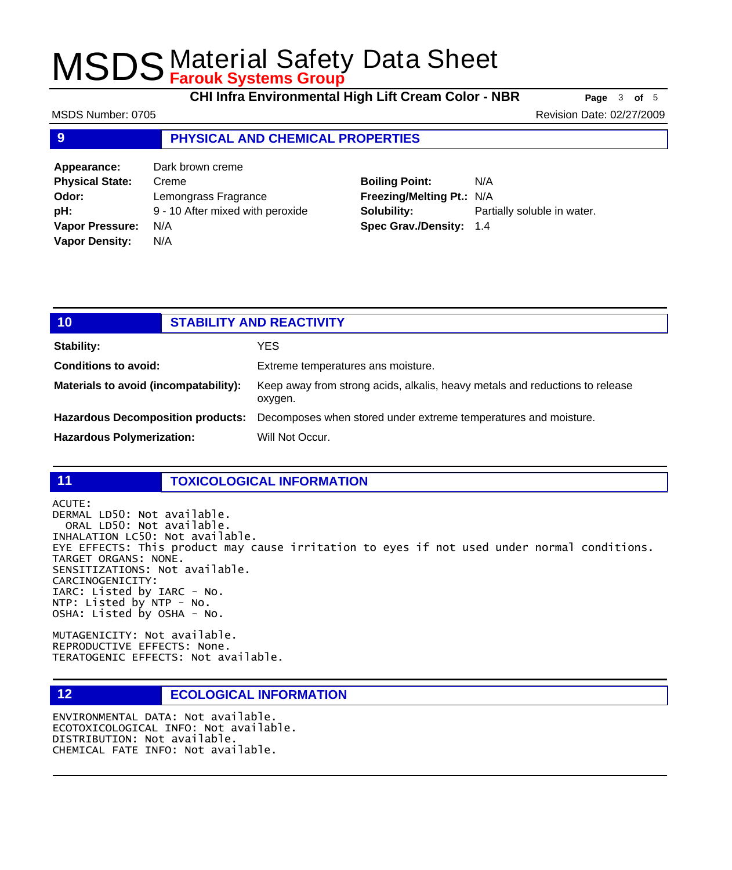**CHI Infra Environmental High Lift Cream Color - NBR Page** <sup>3</sup> **of** <sup>5</sup>

MSDS Number: 0705 Revision Date: 02/27/2009

## **9 PHYSICAL AND CHEMICAL PROPERTIES**

| Appearance:            | Dark brown creme                 |
|------------------------|----------------------------------|
| <b>Physical State:</b> | Creme                            |
| Odor:                  | Lemongrass Fragrance             |
| pH:                    | 9 - 10 After mixed with peroxide |
| <b>Vapor Pressure:</b> | N/A                              |
| <b>Vapor Density:</b>  | N/A                              |

## **Boiling Point:** N/A **Freezing/Melting Pt.:** N/A **Solubility:** Partially soluble in water. **Spec Grav./Density:** 1.4

| 10                                    | <b>STABILITY AND REACTIVITY</b> |                                                                                                   |
|---------------------------------------|---------------------------------|---------------------------------------------------------------------------------------------------|
| <b>Stability:</b>                     |                                 | YES.                                                                                              |
| <b>Conditions to avoid:</b>           |                                 | Extreme temperatures ans moisture.                                                                |
| Materials to avoid (incompatability): |                                 | Keep away from strong acids, alkalis, heavy metals and reductions to release<br>oxygen.           |
|                                       |                                 | Hazardous Decomposition products: Decomposes when stored under extreme temperatures and moisture. |
| <b>Hazardous Polymerization:</b>      |                                 | Will Not Occur.                                                                                   |

## **11 TOXICOLOGICAL INFORMATION**

ACUTE:

DERMAL LD50: Not available. ORAL LD50: Not available. INHALATION LC50: Not available. EYE EFFECTS: This product may cause irritation to eyes if not used under normal conditions. TARGET ORGANS: NONE. SENSITIZATIONS: Not available. CARCINOGENICITY: IARC: Listed by IARC - No. NTP: Listed by NTP - No. OSHA: Listed by OSHA - No.

MUTAGENICITY: Not available. REPRODUCTIVE EFFECTS: None. TERATOGENIC EFFECTS: Not available.

## **12 ECOLOGICAL INFORMATION**

ENVIRONMENTAL DATA: Not available. ECOTOXICOLOGICAL INFO: Not available. DISTRIBUTION: Not available. CHEMICAL FATE INFO: Not available.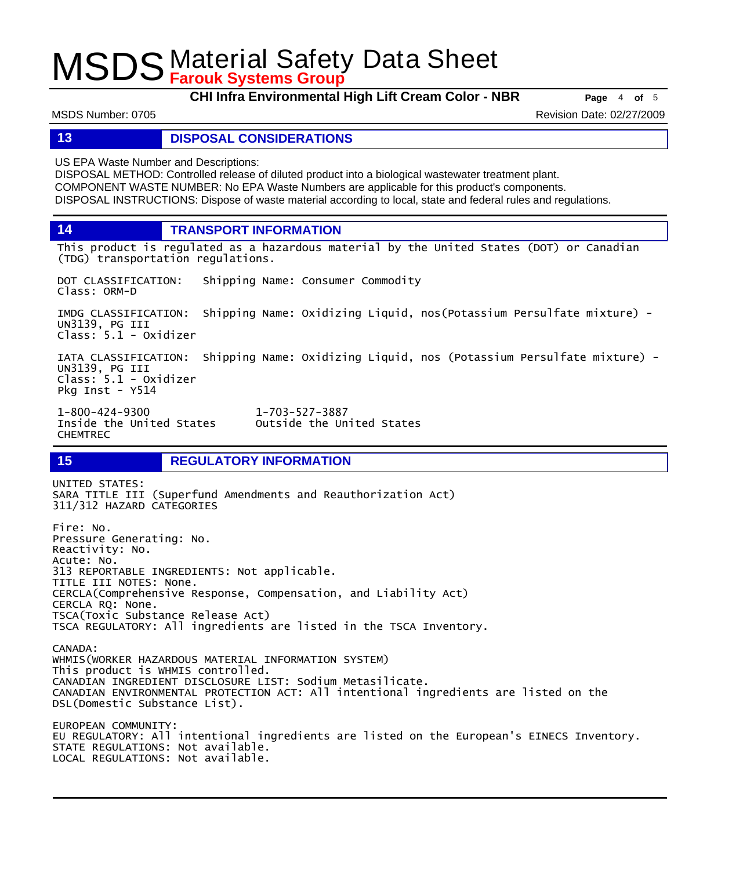**CHI Infra Environmental High Lift Cream Color - NBR Page** <sup>4</sup> **of** <sup>5</sup>

MSDS Number: 0705 Revision Date: 02/27/2009

## **13 DISPOSAL CONSIDERATIONS**

US EPA Waste Number and Descriptions:

DISPOSAL METHOD: Controlled release of diluted product into a biological wastewater treatment plant. COMPONENT WASTE NUMBER: No EPA Waste Numbers are applicable for this product's components. DISPOSAL INSTRUCTIONS: Dispose of waste material according to local, state and federal rules and regulations.

**14 TRANSPORT INFORMATION**

This product is regulated as a hazardous material by the United States (DOT) or Canadian (TDG) transportation regulations.

DOT CLASSIFICATION: Shipping Name: Consumer Commodity Class: ORM-D

IMDG CLASSIFICATION: Shipping Name: Oxidizing Liquid, nos(Potassium Persulfate mixture) - UN3139, PG III Class: 5.1 - Oxidizer

IATA CLASSIFICATION: Shipping Name: Oxidizing Liquid, nos (Potassium Persulfate mixture) - UN3139, PG III Class: 5.1 - Oxidizer Pkg Inst - Y514

Outside the United States

1-800-424-9300 1-703-527-3887 CHEMTREC

## **15 REGULATORY INFORMATION**

UNITED STATES: SARA TITLE III (Superfund Amendments and Reauthorization Act) 311/312 HAZARD CATEGORIES Fire: No. Pressure Generating: No. Reactivity: No. Acute: No. 313 REPORTABLE INGREDIENTS: Not applicable. TITLE III NOTES: None. CERCLA(Comprehensive Response, Compensation, and Liability Act) CERCLA RQ: None. TSCA(Toxic Substance Release Act) TSCA REGULATORY: All ingredients are listed in the TSCA Inventory. CANADA: WHMIS(WORKER HAZARDOUS MATERIAL INFORMATION SYSTEM) This product is WHMIS controlled. CANADIAN INGREDIENT DISCLOSURE LIST: Sodium Metasilicate. CANADIAN ENVIRONMENTAL PROTECTION ACT: All intentional ingredients are listed on the DSL(Domestic Substance List). EUROPEAN COMMUNITY: EU REGULATORY: All intentional ingredients are listed on the European's EINECS Inventory.

STATE REGULATIONS: Not available. LOCAL REGULATIONS: Not available.